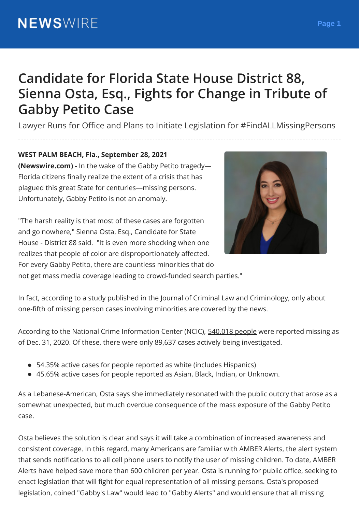## **Candidate for Florida State House District 88, Sienna Osta, Esq., Fights for Change in Tribute of Gabby Petito Case**

Lawyer Runs for Office and Plans to Initiate Legislation for #FindALLMissingPersons

## **WEST PALM BEACH, Fla., September 28, 2021**

**(Newswire.com) -** In the wake of the Gabby Petito tragedy— Florida citizens finally realize the extent of a crisis that has plagued this great State for centuries—missing persons. Unfortunately, Gabby Petito is not an anomaly.

"The harsh reality is that most of these cases are forgotten and go nowhere," Sienna Osta, Esq., Candidate for State House - District 88 said. "It is even more shocking when one realizes that people of color are disproportionately affected. For every Gabby Petito, there are countless minorities that do not get mass media coverage leading to crowd-funded search parties."



In fact, according to a study published in the Journal of Criminal Law and Criminology, only about one-fifth of missing person cases involving minorities are covered by the news.

According to the National Crime Information Center (NCIC), 540,018 people were reported missing as of Dec. 31, 2020. Of these, there were only 89,637 cases actively being investigated.

- 54.35% active cases for people reported as white (includes Hispanics)
- 45.65% active cases for people reported as Asian, Black, Indian, or Unknown.

As a Lebanese-American, Osta says she immediately resonated with the public outcry that arose as a somewhat unexpected, but much overdue consequence of the mass exposure of the Gabby Petito case.

Osta believes the solution is clear and says it will take a combination of increased awareness and consistent coverage. In this regard, many Americans are familiar with AMBER Alerts, the alert system that sends notifications to all cell phone users to notify the user of missing children. To date, AMBER Alerts have helped save more than 600 children per year. Osta is running for public office, seeking to enact legislation that will fight for equal representation of all missing persons. Osta's proposed legislation, coined "Gabby's Law" would lead to "Gabby Alerts" and would ensure that all missing